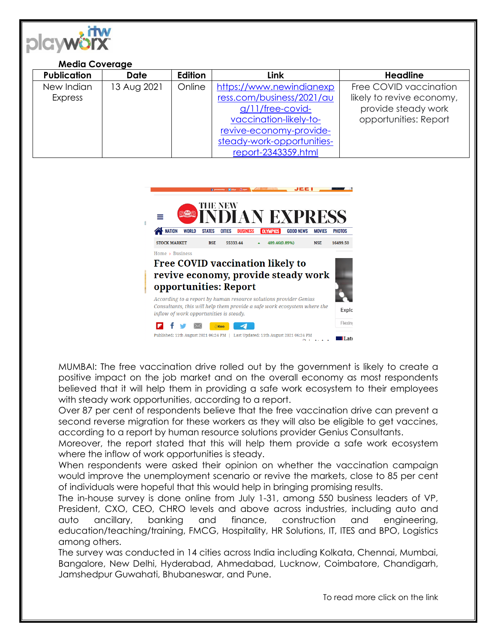

## **Media Coverage**

| <b>Publication</b> | <b>Date</b> | Edition | <b>Link</b>                | <b>Headline</b>           |
|--------------------|-------------|---------|----------------------------|---------------------------|
| New Indian         | 13 Aug 2021 | Online  | https://www.newindianexp   | Free COVID vaccination    |
| Express            |             |         | ress.com/business/2021/au  | likely to revive economy, |
|                    |             |         | g/11/free-covid-           | provide steady work       |
|                    |             |         | vaccination-likely-to-     | opportunities: Report     |
|                    |             |         | revive-economy-provide-    |                           |
|                    |             |         | steady-work-opportunities- |                           |
|                    |             |         | report-2343359.html        |                           |



MUMBAI: The free vaccination drive rolled out by the government is likely to create a positive impact on the job market and on the overall economy as most respondents believed that it will help them in providing a safe work ecosystem to their employees with steady work opportunities, according to a report.

Over 87 per cent of respondents believe that the free vaccination drive can prevent a second reverse migration for these workers as they will also be eligible to get vaccines, according to a report by human resource solutions provider Genius Consultants.

Moreover, the report stated that this will help them provide a safe work ecosystem where the inflow of work opportunities is steady.

When respondents were asked their opinion on whether the vaccination campaign would improve the unemployment scenario or revive the markets, close to 85 per cent of individuals were hopeful that this would help in bringing promising results.

The in-house survey is done online from July 1-31, among 550 business leaders of VP, President, CXO, CEO, CHRO levels and above across industries, including auto and auto ancillary, banking and finance, construction and engineering, education/teaching/training, FMCG, Hospitality, HR Solutions, IT, ITES and BPO, Logistics among others.

The survey was conducted in 14 cities across India including Kolkata, Chennai, Mumbai, Bangalore, New Delhi, Hyderabad, Ahmedabad, Lucknow, Coimbatore, Chandigarh, Jamshedpur Guwahati, Bhubaneswar, and Pune.

To read more click on the link